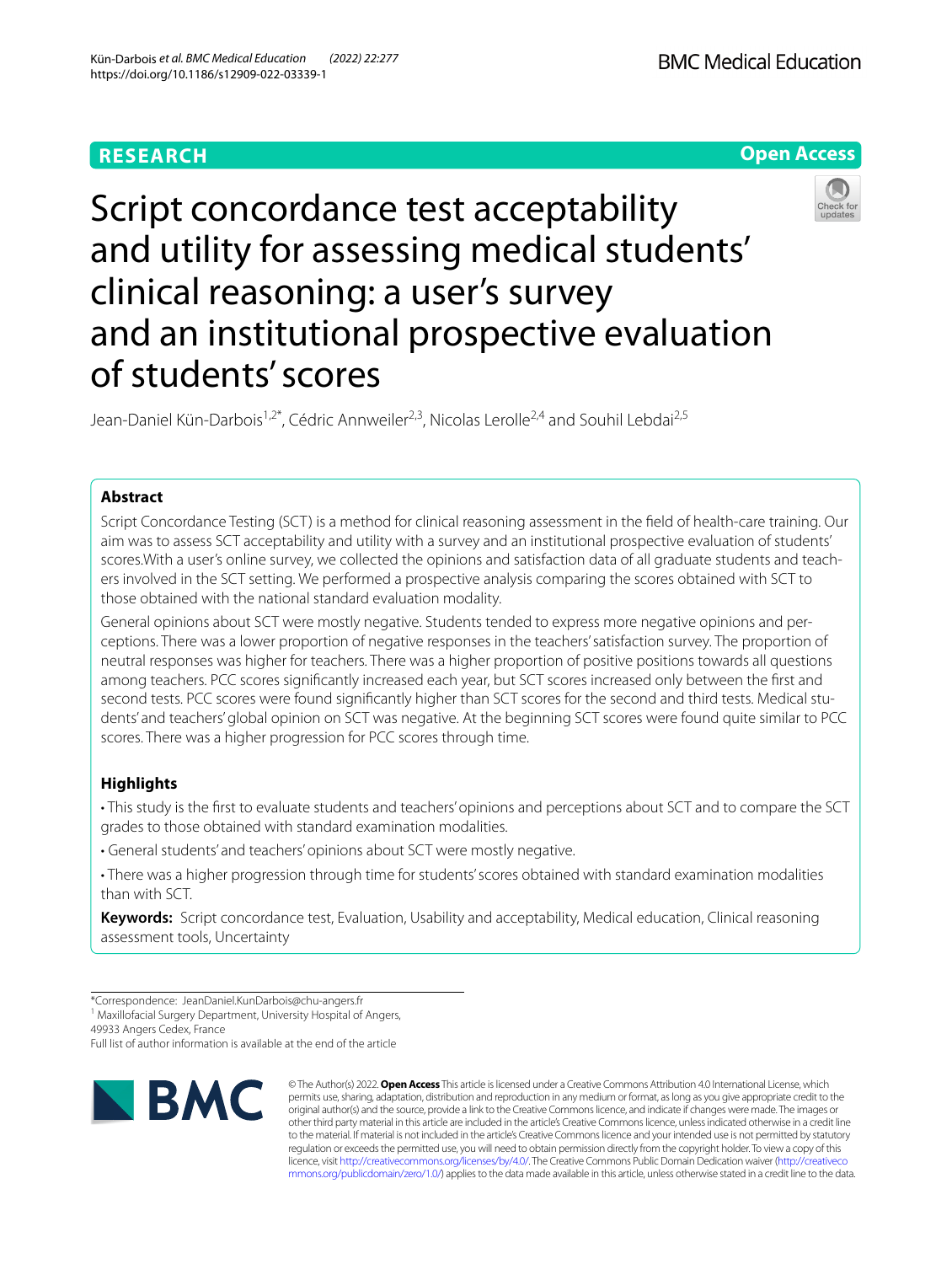

# Script concordance test acceptability and utility for assessing medical students' clinical reasoning: a user's survey and an institutional prospective evaluation of students' scores

Jean-Daniel Kün-Darbois<sup>1,2\*</sup>, Cédric Annweiler<sup>2,3</sup>, Nicolas Lerolle<sup>2,4</sup> and Souhil Lebdai<sup>2,5</sup>

# **Abstract**

Script Concordance Testing (SCT) is a method for clinical reasoning assessment in the feld of health-care training. Our aim was to assess SCT acceptability and utility with a survey and an institutional prospective evaluation of students' scores. With a user's online survey, we collected the opinions and satisfaction data of all graduate students and teachers involved in the SCT setting. We performed a prospective analysis comparing the scores obtained with SCT to those obtained with the national standard evaluation modality.

General opinions about SCT were mostly negative. Students tended to express more negative opinions and perceptions. There was a lower proportion of negative responses in the teachers' satisfaction survey. The proportion of neutral responses was higher for teachers. There was a higher proportion of positive positions towards all questions among teachers. PCC scores signifcantly increased each year, but SCT scores increased only between the frst and second tests. PCC scores were found significantly higher than SCT scores for the second and third tests. Medical students' and teachers' global opinion on SCT was negative. At the beginning SCT scores were found quite similar to PCC scores. There was a higher progression for PCC scores through time.

# **Highlights**

• This study is the frst to evaluate students and teachers' opinions and perceptions about SCT and to compare the SCT grades to those obtained with standard examination modalities.

- General students' and teachers' opinions about SCT were mostly negative.
- There was a higher progression through time for students' scores obtained with standard examination modalities than with SCT.

**Keywords:** Script concordance test, Evaluation, Usability and acceptability, Medical education, Clinical reasoning assessment tools, Uncertainty

<sup>1</sup> Maxillofacial Surgery Department, University Hospital of Angers,

49933 Angers Cedex, France

Full list of author information is available at the end of the article



© The Author(s) 2022. **Open Access** This article is licensed under a Creative Commons Attribution 4.0 International License, which permits use, sharing, adaptation, distribution and reproduction in any medium or format, as long as you give appropriate credit to the original author(s) and the source, provide a link to the Creative Commons licence, and indicate if changes were made. The images or other third party material in this article are included in the article's Creative Commons licence, unless indicated otherwise in a credit line to the material. If material is not included in the article's Creative Commons licence and your intended use is not permitted by statutory regulation or exceeds the permitted use, you will need to obtain permission directly from the copyright holder. To view a copy of this licence, visit [http://creativecommons.org/licenses/by/4.0/.](http://creativecommons.org/licenses/by/4.0/) The Creative Commons Public Domain Dedication waiver ([http://creativeco](http://creativecommons.org/publicdomain/zero/1.0/) [mmons.org/publicdomain/zero/1.0/](http://creativecommons.org/publicdomain/zero/1.0/)) applies to the data made available in this article, unless otherwise stated in a credit line to the data.

<sup>\*</sup>Correspondence: JeanDaniel.KunDarbois@chu-angers.fr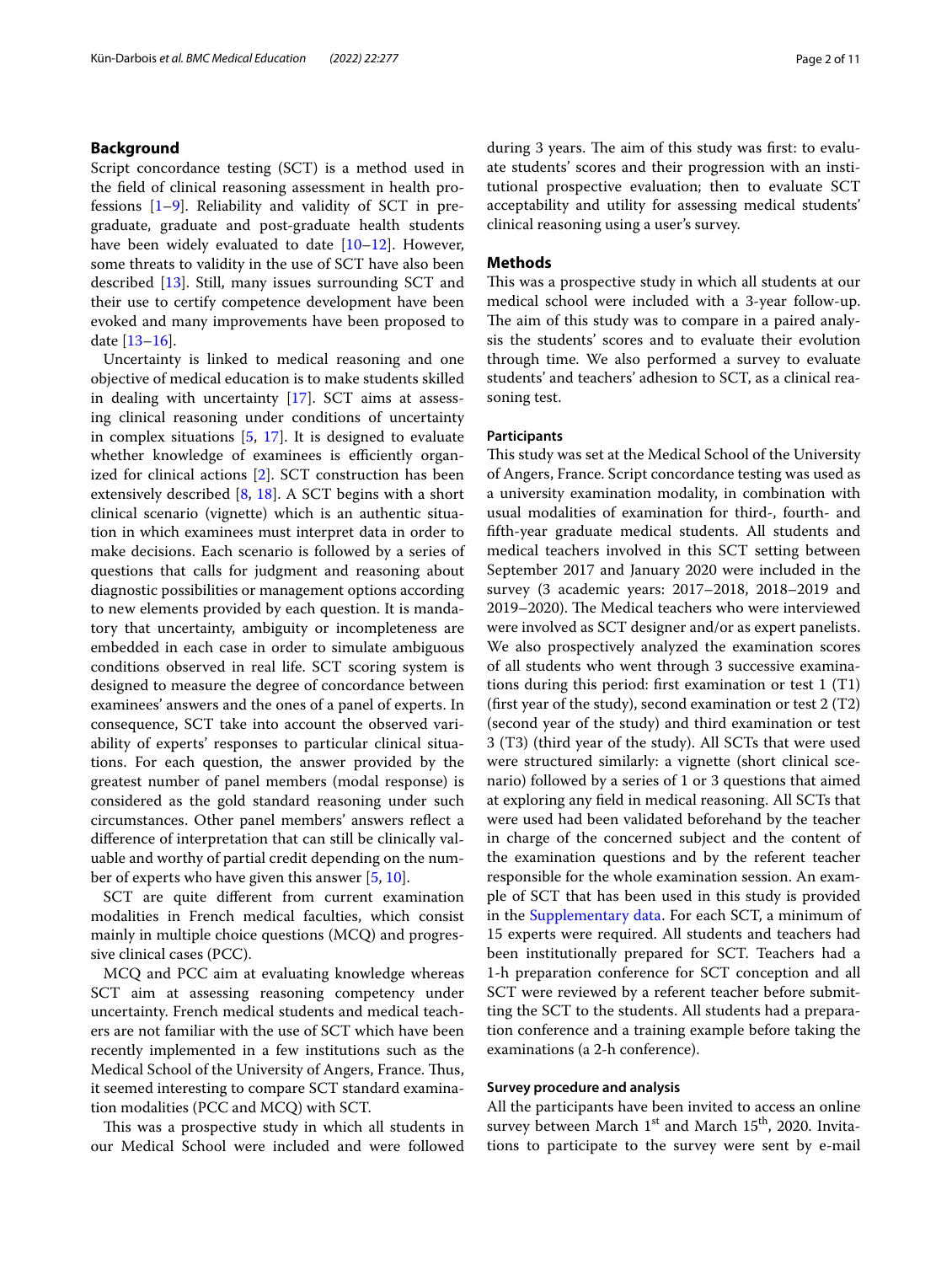# **Background**

Script concordance testing (SCT) is a method used in the feld of clinical reasoning assessment in health professions [[1–](#page-9-0)[9\]](#page-9-1). Reliability and validity of SCT in pregraduate, graduate and post-graduate health students have been widely evaluated to date [[10](#page-9-2)[–12](#page-9-3)]. However, some threats to validity in the use of SCT have also been described [\[13](#page-9-4)]. Still, many issues surrounding SCT and their use to certify competence development have been evoked and many improvements have been proposed to date [[13](#page-9-4)[–16](#page-9-5)].

Uncertainty is linked to medical reasoning and one objective of medical education is to make students skilled in dealing with uncertainty [\[17](#page-9-6)]. SCT aims at assessing clinical reasoning under conditions of uncertainty in complex situations [[5,](#page-9-7) [17\]](#page-9-6). It is designed to evaluate whether knowledge of examinees is efficiently organized for clinical actions [\[2](#page-9-8)]. SCT construction has been extensively described [\[8](#page-9-9), [18](#page-9-10)]. A SCT begins with a short clinical scenario (vignette) which is an authentic situation in which examinees must interpret data in order to make decisions. Each scenario is followed by a series of questions that calls for judgment and reasoning about diagnostic possibilities or management options according to new elements provided by each question. It is mandatory that uncertainty, ambiguity or incompleteness are embedded in each case in order to simulate ambiguous conditions observed in real life. SCT scoring system is designed to measure the degree of concordance between examinees' answers and the ones of a panel of experts. In consequence, SCT take into account the observed variability of experts' responses to particular clinical situations. For each question, the answer provided by the greatest number of panel members (modal response) is considered as the gold standard reasoning under such circumstances. Other panel members' answers refect a diference of interpretation that can still be clinically valuable and worthy of partial credit depending on the number of experts who have given this answer [\[5,](#page-9-7) [10](#page-9-2)].

SCT are quite diferent from current examination modalities in French medical faculties, which consist mainly in multiple choice questions (MCQ) and progressive clinical cases (PCC).

MCQ and PCC aim at evaluating knowledge whereas SCT aim at assessing reasoning competency under uncertainty. French medical students and medical teachers are not familiar with the use of SCT which have been recently implemented in a few institutions such as the Medical School of the University of Angers, France. Thus, it seemed interesting to compare SCT standard examination modalities (PCC and MCQ) with SCT.

This was a prospective study in which all students in our Medical School were included and were followed during 3 years. The aim of this study was first: to evaluate students' scores and their progression with an institutional prospective evaluation; then to evaluate SCT acceptability and utility for assessing medical students' clinical reasoning using a user's survey.

# **Methods**

This was a prospective study in which all students at our medical school were included with a 3-year follow-up. The aim of this study was to compare in a paired analysis the students' scores and to evaluate their evolution through time. We also performed a survey to evaluate students' and teachers' adhesion to SCT, as a clinical reasoning test.

#### **Participants**

This study was set at the Medical School of the University of Angers, France. Script concordance testing was used as a university examination modality, in combination with usual modalities of examination for third-, fourth- and ffth-year graduate medical students. All students and medical teachers involved in this SCT setting between September 2017 and January 2020 were included in the survey (3 academic years: 2017–2018, 2018–2019 and 2019–2020). The Medical teachers who were interviewed were involved as SCT designer and/or as expert panelists. We also prospectively analyzed the examination scores of all students who went through 3 successive examinations during this period: frst examination or test 1 (T1) (first year of the study), second examination or test  $2(T2)$ (second year of the study) and third examination or test 3 (T3) (third year of the study). All SCTs that were used were structured similarly: a vignette (short clinical scenario) followed by a series of 1 or 3 questions that aimed at exploring any feld in medical reasoning. All SCTs that were used had been validated beforehand by the teacher in charge of the concerned subject and the content of the examination questions and by the referent teacher responsible for the whole examination session. An example of SCT that has been used in this study is provided in the [Supplementary data](#page-8-0). For each SCT, a minimum of 15 experts were required. All students and teachers had been institutionally prepared for SCT. Teachers had a 1-h preparation conference for SCT conception and all SCT were reviewed by a referent teacher before submitting the SCT to the students. All students had a preparation conference and a training example before taking the examinations (a 2-h conference).

## **Survey procedure and analysis**

All the participants have been invited to access an online survey between March 1<sup>st</sup> and March 15<sup>th</sup>, 2020. Invitations to participate to the survey were sent by e-mail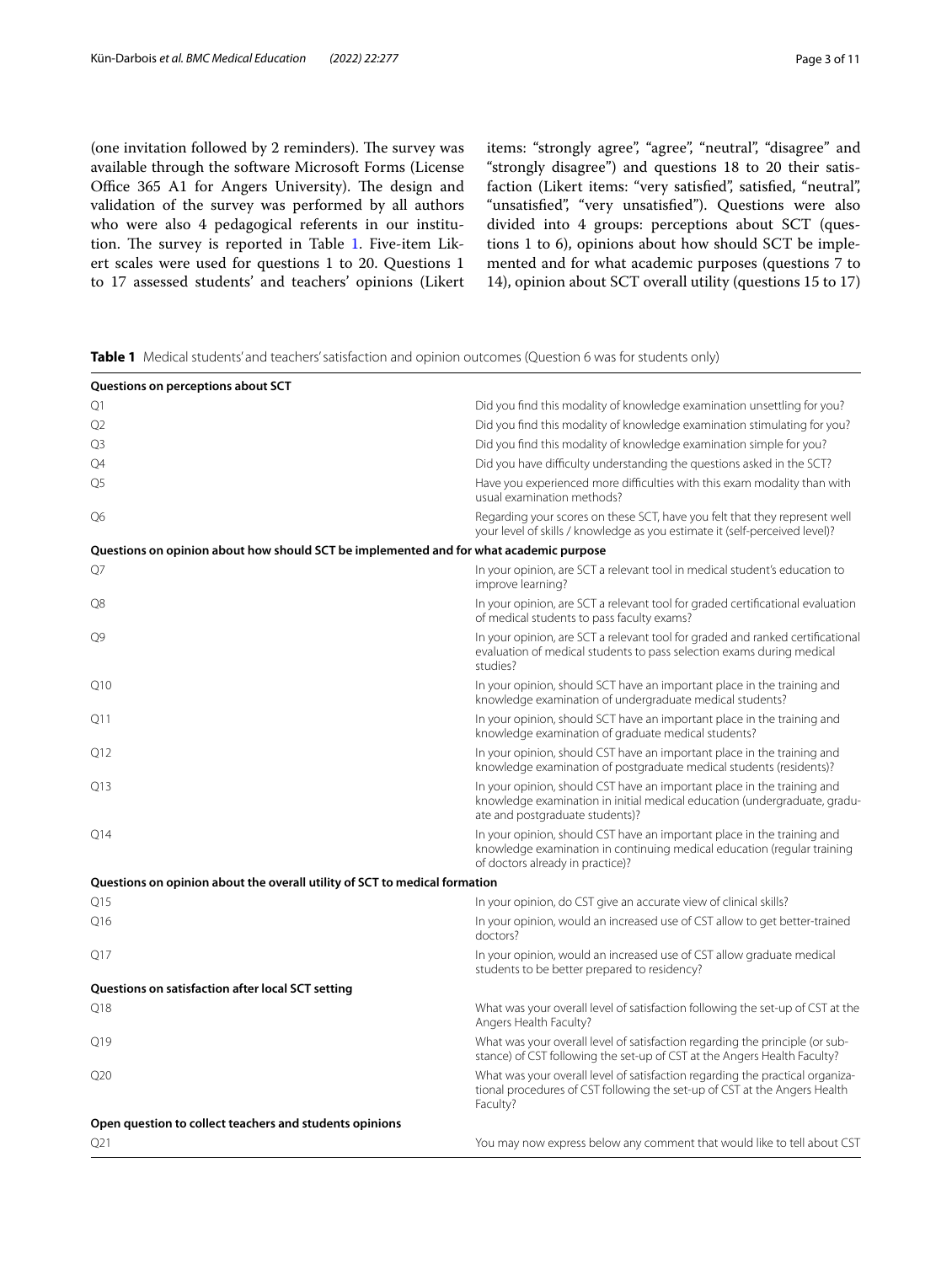(one invitation followed by 2 reminders). The survey was available through the software Microsoft Forms (License Office 365 A1 for Angers University). The design and validation of the survey was performed by all authors who were also 4 pedagogical referents in our institu-tion. The survey is reported in Table [1.](#page-2-0) Five-item Likert scales were used for questions 1 to 20. Questions 1 to 17 assessed students' and teachers' opinions (Likert items: "strongly agree", "agree", "neutral", "disagree" and "strongly disagree") and questions 18 to 20 their satisfaction (Likert items: "very satisfied", satisfied, "neutral", "unsatisfed", "very unsatisfed"). Questions were also divided into 4 groups: perceptions about SCT (questions 1 to 6), opinions about how should SCT be implemented and for what academic purposes (questions 7 to 14), opinion about SCT overall utility (questions 15 to 17)

<span id="page-2-0"></span>**Table 1** Medical students' and teachers' satisfaction and opinion outcomes (Question 6 was for students only)

| Questions on perceptions about SCT                                                     |                                                                                                                                                                                         |
|----------------------------------------------------------------------------------------|-----------------------------------------------------------------------------------------------------------------------------------------------------------------------------------------|
| Q1                                                                                     | Did you find this modality of knowledge examination unsettling for you?                                                                                                                 |
| Q2                                                                                     | Did you find this modality of knowledge examination stimulating for you?                                                                                                                |
| Q3                                                                                     | Did you find this modality of knowledge examination simple for you?                                                                                                                     |
| Q4                                                                                     | Did you have difficulty understanding the questions asked in the SCT?                                                                                                                   |
| Q5                                                                                     | Have you experienced more difficulties with this exam modality than with<br>usual examination methods?                                                                                  |
| Q6                                                                                     | Regarding your scores on these SCT, have you felt that they represent well<br>your level of skills / knowledge as you estimate it (self-perceived level)?                               |
| Questions on opinion about how should SCT be implemented and for what academic purpose |                                                                                                                                                                                         |
| Q7                                                                                     | In your opinion, are SCT a relevant tool in medical student's education to<br>improve learning?                                                                                         |
| Q8                                                                                     | In your opinion, are SCT a relevant tool for graded certificational evaluation<br>of medical students to pass faculty exams?                                                            |
| O9                                                                                     | In your opinion, are SCT a relevant tool for graded and ranked certificational<br>evaluation of medical students to pass selection exams during medical<br>studies?                     |
| Q10                                                                                    | In your opinion, should SCT have an important place in the training and<br>knowledge examination of undergraduate medical students?                                                     |
| Q11                                                                                    | In your opinion, should SCT have an important place in the training and<br>knowledge examination of graduate medical students?                                                          |
| Q12                                                                                    | In your opinion, should CST have an important place in the training and<br>knowledge examination of postgraduate medical students (residents)?                                          |
| Q13                                                                                    | In your opinion, should CST have an important place in the training and<br>knowledge examination in initial medical education (undergraduate, gradu-<br>ate and postgraduate students)? |
| Q14                                                                                    | In your opinion, should CST have an important place in the training and<br>knowledge examination in continuing medical education (regular training<br>of doctors already in practice)?  |
| Questions on opinion about the overall utility of SCT to medical formation             |                                                                                                                                                                                         |
| Q15                                                                                    | In your opinion, do CST give an accurate view of clinical skills?                                                                                                                       |
| O <sub>16</sub>                                                                        | In your opinion, would an increased use of CST allow to get better-trained<br>doctors?                                                                                                  |
| Q17                                                                                    | In your opinion, would an increased use of CST allow graduate medical<br>students to be better prepared to residency?                                                                   |
| Questions on satisfaction after local SCT setting                                      |                                                                                                                                                                                         |
| Q18                                                                                    | What was your overall level of satisfaction following the set-up of CST at the<br>Angers Health Faculty?                                                                                |
| Q19                                                                                    | What was your overall level of satisfaction regarding the principle (or sub-<br>stance) of CST following the set-up of CST at the Angers Health Faculty?                                |
| Q20                                                                                    | What was your overall level of satisfaction regarding the practical organiza-<br>tional procedures of CST following the set-up of CST at the Angers Health<br>Faculty?                  |
| Open question to collect teachers and students opinions                                |                                                                                                                                                                                         |
| Q21                                                                                    | You may now express below any comment that would like to tell about CST                                                                                                                 |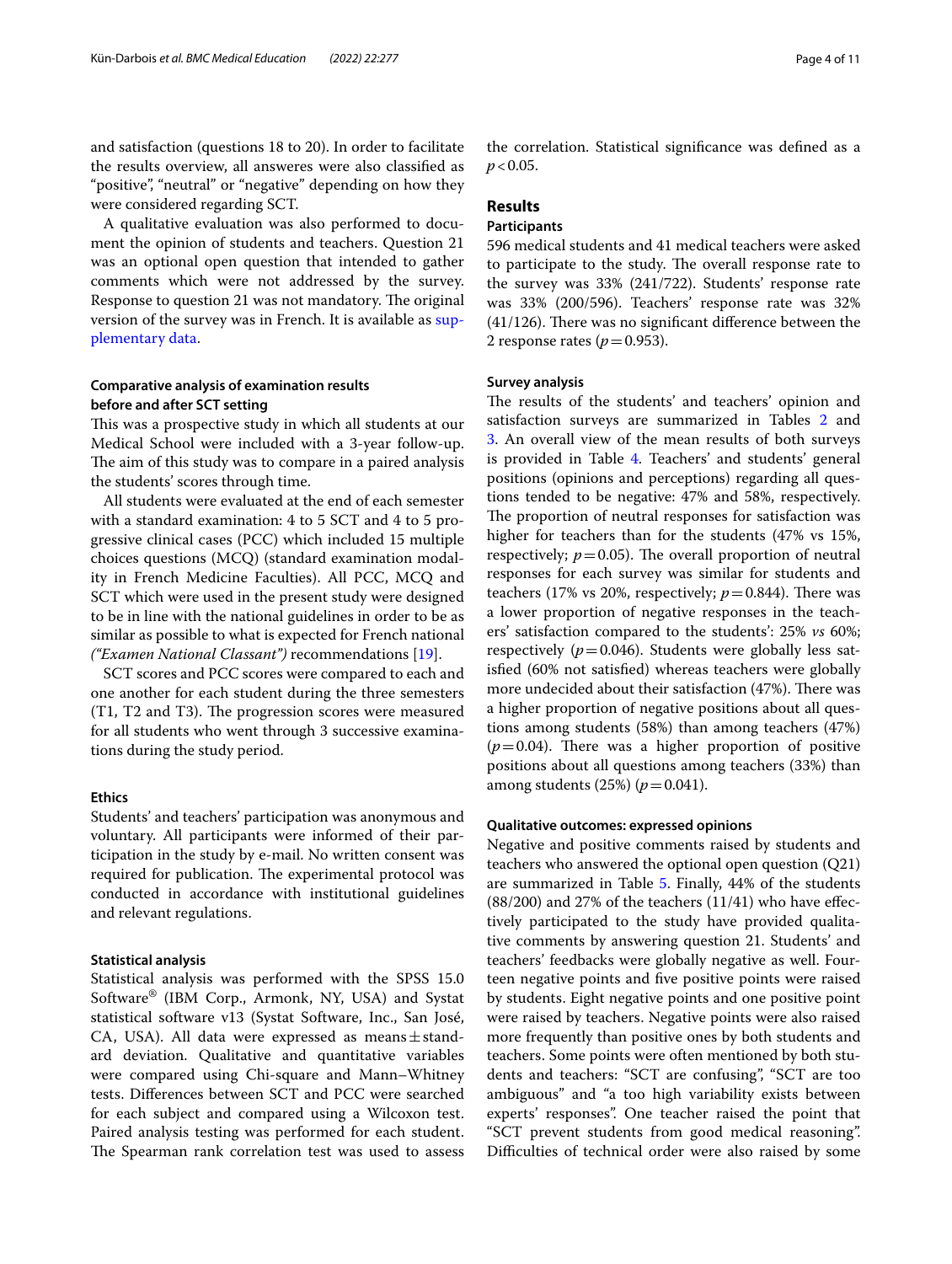and satisfaction (questions 18 to 20). In order to facilitate the results overview, all answeres were also classifed as "positive", "neutral" or "negative" depending on how they were considered regarding SCT.

A qualitative evaluation was also performed to document the opinion of students and teachers. Question 21 was an optional open question that intended to gather comments which were not addressed by the survey. Response to question 21 was not mandatory. The original version of the survey was in French. It is available as [sup](#page-8-0)[plementary data](#page-8-0).

# **Comparative analysis of examination results before and after SCT setting**

This was a prospective study in which all students at our Medical School were included with a 3-year follow-up. The aim of this study was to compare in a paired analysis the students' scores through time.

All students were evaluated at the end of each semester with a standard examination: 4 to 5 SCT and 4 to 5 progressive clinical cases (PCC) which included 15 multiple choices questions (MCQ) (standard examination modality in French Medicine Faculties). All PCC, MCQ and SCT which were used in the present study were designed to be in line with the national guidelines in order to be as similar as possible to what is expected for French national *("Examen National Classant")* recommendations [\[19](#page-9-11)].

SCT scores and PCC scores were compared to each and one another for each student during the three semesters (T1, T2 and T3). The progression scores were measured for all students who went through 3 successive examinations during the study period.

## **Ethics**

Students' and teachers' participation was anonymous and voluntary. All participants were informed of their participation in the study by e-mail. No written consent was required for publication. The experimental protocol was conducted in accordance with institutional guidelines and relevant regulations.

#### **Statistical analysis**

Statistical analysis was performed with the SPSS 15.0 Software® (IBM Corp., Armonk, NY, USA) and Systat statistical software v13 (Systat Software, Inc., San José, CA, USA). All data were expressed as means $\pm$ standard deviation. Qualitative and quantitative variables were compared using Chi-square and Mann–Whitney tests. Diferences between SCT and PCC were searched for each subject and compared using a Wilcoxon test. Paired analysis testing was performed for each student. The Spearman rank correlation test was used to assess the correlation. Statistical signifcance was defned as a  $p < 0.05$ .

# **Results**

## **Participants**

596 medical students and 41 medical teachers were asked to participate to the study. The overall response rate to the survey was 33% (241/722). Students' response rate was 33% (200/596). Teachers' response rate was 32%  $(41/126)$ . There was no significant difference between the 2 response rates ( $p = 0.953$ ).

## **Survey analysis**

The results of the students' and teachers' opinion and satisfaction surveys are summarized in Tables [2](#page-4-0) and [3.](#page-4-1) An overall view of the mean results of both surveys is provided in Table [4.](#page-5-0) Teachers' and students' general positions (opinions and perceptions) regarding all questions tended to be negative: 47% and 58%, respectively. The proportion of neutral responses for satisfaction was higher for teachers than for the students (47% vs 15%, respectively;  $p = 0.05$ ). The overall proportion of neutral responses for each survey was similar for students and teachers (17% vs 20%, respectively;  $p = 0.844$ ). There was a lower proportion of negative responses in the teachers' satisfaction compared to the students': 25% *vs* 60%; respectively  $(p=0.046)$ . Students were globally less satisfed (60% not satisfed) whereas teachers were globally more undecided about their satisfaction (47%). There was a higher proportion of negative positions about all questions among students (58%) than among teachers (47%)  $(p=0.04)$ . There was a higher proportion of positive positions about all questions among teachers (33%) than among students (25%) ( $p = 0.041$ ).

# **Qualitative outcomes: expressed opinions**

Negative and positive comments raised by students and teachers who answered the optional open question (Q21) are summarized in Table [5](#page-5-1). Finally, 44% of the students  $(88/200)$  and 27% of the teachers  $(11/41)$  who have effectively participated to the study have provided qualitative comments by answering question 21. Students' and teachers' feedbacks were globally negative as well. Fourteen negative points and fve positive points were raised by students. Eight negative points and one positive point were raised by teachers. Negative points were also raised more frequently than positive ones by both students and teachers. Some points were often mentioned by both students and teachers: "SCT are confusing", "SCT are too ambiguous" and "a too high variability exists between experts' responses". One teacher raised the point that "SCT prevent students from good medical reasoning". Difficulties of technical order were also raised by some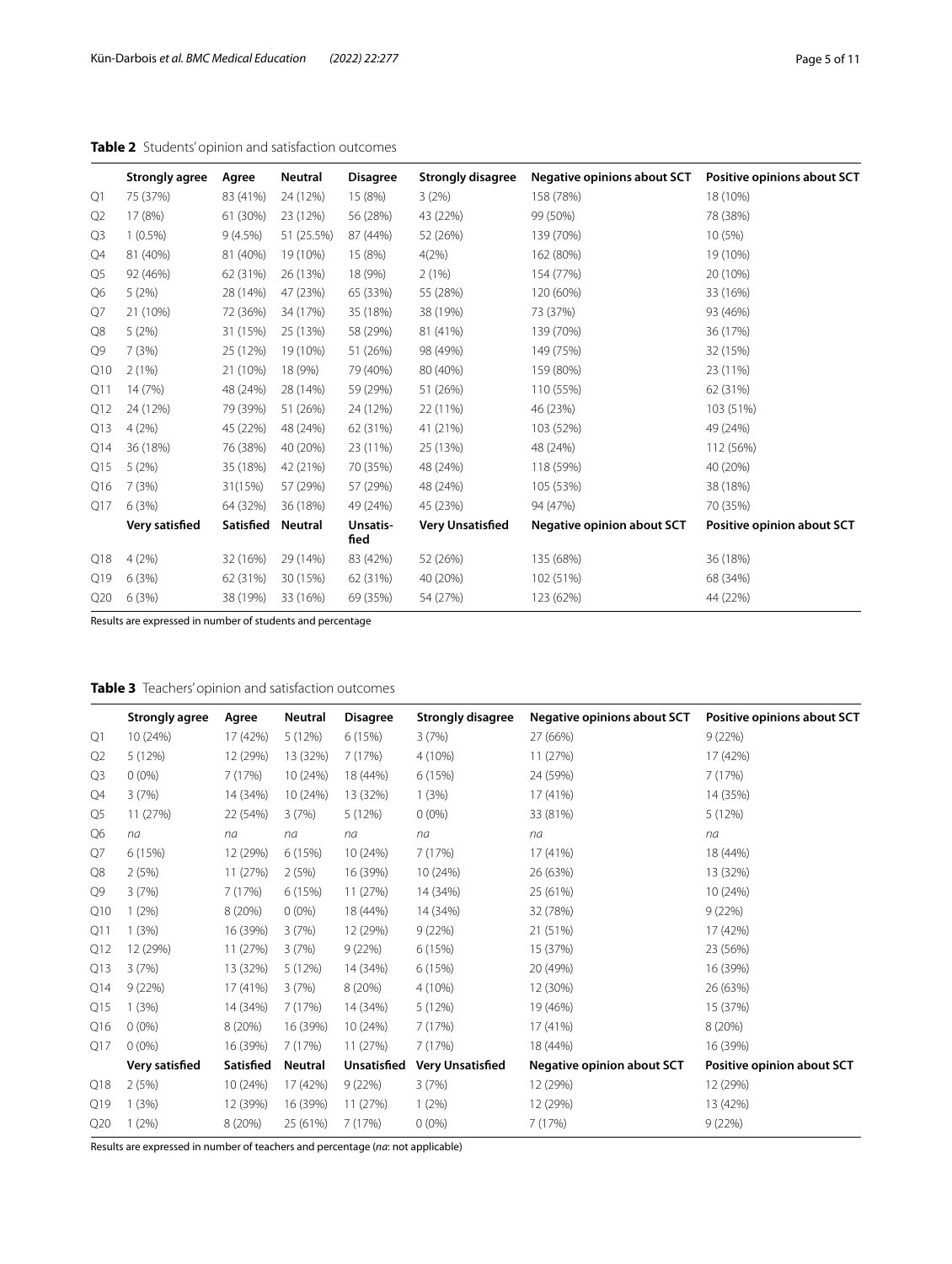# <span id="page-4-0"></span>**Table 2** Students' opinion and satisfaction outcomes

|                | <b>Strongly agree</b> | Agree     | <b>Neutral</b> | <b>Disagree</b>  | <b>Strongly disagree</b> | Negative opinions about SCT       | Positive opinions about SCT |
|----------------|-----------------------|-----------|----------------|------------------|--------------------------|-----------------------------------|-----------------------------|
| Q1             | 75 (37%)              | 83 (41%)  | 24 (12%)       | 15 (8%)          | 3(2%)                    | 158 (78%)                         | 18 (10%)                    |
| Q <sub>2</sub> | 17 (8%)               | 61 (30%)  | 23 (12%)       | 56 (28%)         | 43 (22%)                 | 99 (50%)                          | 78 (38%)                    |
| Q <sub>3</sub> | $1(0.5\%)$            | 9(4.5%)   | 51 (25.5%)     | 87 (44%)         | 52 (26%)                 | 139 (70%)                         | 10 (5%)                     |
| Q4             | 81 (40%)              | 81 (40%)  | 19 (10%)       | 15 (8%)          | 4(2%)                    | 162 (80%)                         | 19 (10%)                    |
| Q <sub>5</sub> | 92 (46%)              | 62 (31%)  | 26 (13%)       | 18 (9%)          | 2(1%)                    | 154 (77%)                         | 20 (10%)                    |
| Q6             | 5(2%)                 | 28 (14%)  | 47 (23%)       | 65 (33%)         | 55 (28%)                 | 120 (60%)                         | 33 (16%)                    |
| Q7             | 21 (10%)              | 72 (36%)  | 34 (17%)       | 35 (18%)         | 38 (19%)                 | 73 (37%)                          | 93 (46%)                    |
| Q8             | 5(2%)                 | 31 (15%)  | 25 (13%)       | 58 (29%)         | 81 (41%)                 | 139 (70%)                         | 36 (17%)                    |
| Q9             | 7(3%)                 | 25 (12%)  | 19 (10%)       | 51 (26%)         | 98 (49%)                 | 149 (75%)                         | 32 (15%)                    |
| Q10            | 2(1%)                 | 21 (10%)  | 18 (9%)        | 79 (40%)         | 80 (40%)                 | 159 (80%)                         | 23 (11%)                    |
| Q11            | 14 (7%)               | 48 (24%)  | 28 (14%)       | 59 (29%)         | 51 (26%)                 | 110 (55%)                         | 62 (31%)                    |
| Q12            | 24 (12%)              | 79 (39%)  | 51 (26%)       | 24 (12%)         | 22 (11%)                 | 46 (23%)                          | 103 (51%)                   |
| Q13            | 4(2%)                 | 45 (22%)  | 48 (24%)       | 62 (31%)         | 41 (21%)                 | 103 (52%)                         | 49 (24%)                    |
| Q14            | 36 (18%)              | 76 (38%)  | 40 (20%)       | 23 (11%)         | 25 (13%)                 | 48 (24%)                          | 112 (56%)                   |
| Q15            | 5(2%)                 | 35 (18%)  | 42 (21%)       | 70 (35%)         | 48 (24%)                 | 118 (59%)                         | 40 (20%)                    |
| Q16            | 7(3%)                 | 31(15%)   | 57 (29%)       | 57 (29%)         | 48 (24%)                 | 105 (53%)                         | 38 (18%)                    |
| Q17            | 6(3%)                 | 64 (32%)  | 36 (18%)       | 49 (24%)         | 45 (23%)                 | 94 (47%)                          | 70 (35%)                    |
|                | Very satisfied        | Satisfied | Neutral        | Unsatis-<br>fied | <b>Very Unsatisfied</b>  | <b>Negative opinion about SCT</b> | Positive opinion about SCT  |
| Q18            | 4(2%)                 | 32 (16%)  | 29 (14%)       | 83 (42%)         | 52 (26%)                 | 135 (68%)                         | 36 (18%)                    |
| Q19            | 6(3%)                 | 62 (31%)  | 30 (15%)       | 62 (31%)         | 40 (20%)                 | 102 (51%)                         | 68 (34%)                    |
| Q20            | 6(3%)                 | 38 (19%)  | 33 (16%)       | 69 (35%)         | 54 (27%)                 | 123 (62%)                         | 44 (22%)                    |

Results are expressed in number of students and percentage

# <span id="page-4-1"></span>**Table 3** Teachers' opinion and satisfaction outcomes

|                | <b>Strongly agree</b> | Agree     | Neutral        | <b>Disagree</b> | <b>Strongly disagree</b> | Negative opinions about SCT | Positive opinions about SCT |
|----------------|-----------------------|-----------|----------------|-----------------|--------------------------|-----------------------------|-----------------------------|
| Q1             | 10 (24%)              | 17 (42%)  | 5 (12%)        | 6 (15%)         | 3(7%)                    | 27 (66%)                    | 9(22%)                      |
| Q <sub>2</sub> | 5(12%)                | 12 (29%)  | 13 (32%)       | 7 (17%)         | 4 (10%)                  | 11 (27%)                    | 17 (42%)                    |
| Q <sub>3</sub> | $0(0\%)$              | 7(17%)    | 10 (24%)       | 18 (44%)        | 6(15%)                   | 24 (59%)                    | 7(17%)                      |
| Q4             | 3(7%)                 | 14 (34%)  | 10 (24%)       | 13 (32%)        | 1(3%)                    | 17 (41%)                    | 14 (35%)                    |
| Q5             | 11 (27%)              | 22 (54%)  | 3(7%)          | 5(12%)          | $0(0\%)$                 | 33 (81%)                    | 5 (12%)                     |
| Q6             | na                    | na        | na             | na              | na                       | na                          | na                          |
| Q7             | 6(15%)                | 12 (29%)  | 6 (15%)        | 10 (24%)        | 7 (17%)                  | 17 (41%)                    | 18 (44%)                    |
| Q8             | 2(5%)                 | 11 (27%)  | 2(5%)          | 16 (39%)        | 10 (24%)                 | 26 (63%)                    | 13 (32%)                    |
| Q9             | 3(7%)                 | 7(17%)    | 6(15%)         | 11 (27%)        | 14 (34%)                 | 25 (61%)                    | 10 (24%)                    |
| Q10            | $1(2\%)$              | 8 (20%)   | $0(0\%)$       | 18 (44%)        | 14 (34%)                 | 32 (78%)                    | 9(22%)                      |
| Q11            | 1(3%)                 | 16 (39%)  | 3(7%)          | 12 (29%)        | 9(22%)                   | 21 (51%)                    | 17 (42%)                    |
| Q12            | 12 (29%)              | 11 (27%)  | 3(7%)          | 9(22%)          | 6(15%)                   | 15 (37%)                    | 23 (56%)                    |
| Q13            | 3(7%)                 | 13 (32%)  | 5 (12%)        | 14 (34%)        | 6(15%)                   | 20 (49%)                    | 16 (39%)                    |
| Q14            | 9(22%)                | 17 (41%)  | 3(7%)          | 8 (20%)         | 4 (10%)                  | 12 (30%)                    | 26 (63%)                    |
| Q15            | 1(3%)                 | 14 (34%)  | 7(17%)         | 14 (34%)        | 5(12%)                   | 19 (46%)                    | 15 (37%)                    |
| Q16            | $0(0\%)$              | 8 (20%)   | 16 (39%)       | 10 (24%)        | 7 (17%)                  | 17 (41%)                    | 8 (20%)                     |
| Q17            | $0(0\%)$              | 16 (39%)  | 7(17%)         | 11 (27%)        | 7(17%)                   | 18 (44%)                    | 16 (39%)                    |
|                | Very satisfied        | Satisfied | <b>Neutral</b> | Unsatisfied     | <b>Very Unsatisfied</b>  | Negative opinion about SCT  | Positive opinion about SCT  |
| Q18            | 2(5%)                 | 10 (24%)  | 17 (42%)       | 9(22%)          | 3(7%)                    | 12 (29%)                    | 12 (29%)                    |
| Q19            | 1(3%)                 | 12 (39%)  | 16 (39%)       | 11 (27%)        | $1(2\%)$                 | 12 (29%)                    | 13 (42%)                    |
| Q20            | 1(2%)                 | 8 (20%)   | 25 (61%)       | 7(17%)          | $0(0\%)$                 | 7(17%)                      | 9(22%)                      |

Results are expressed in number of teachers and percentage (*na*: not applicable)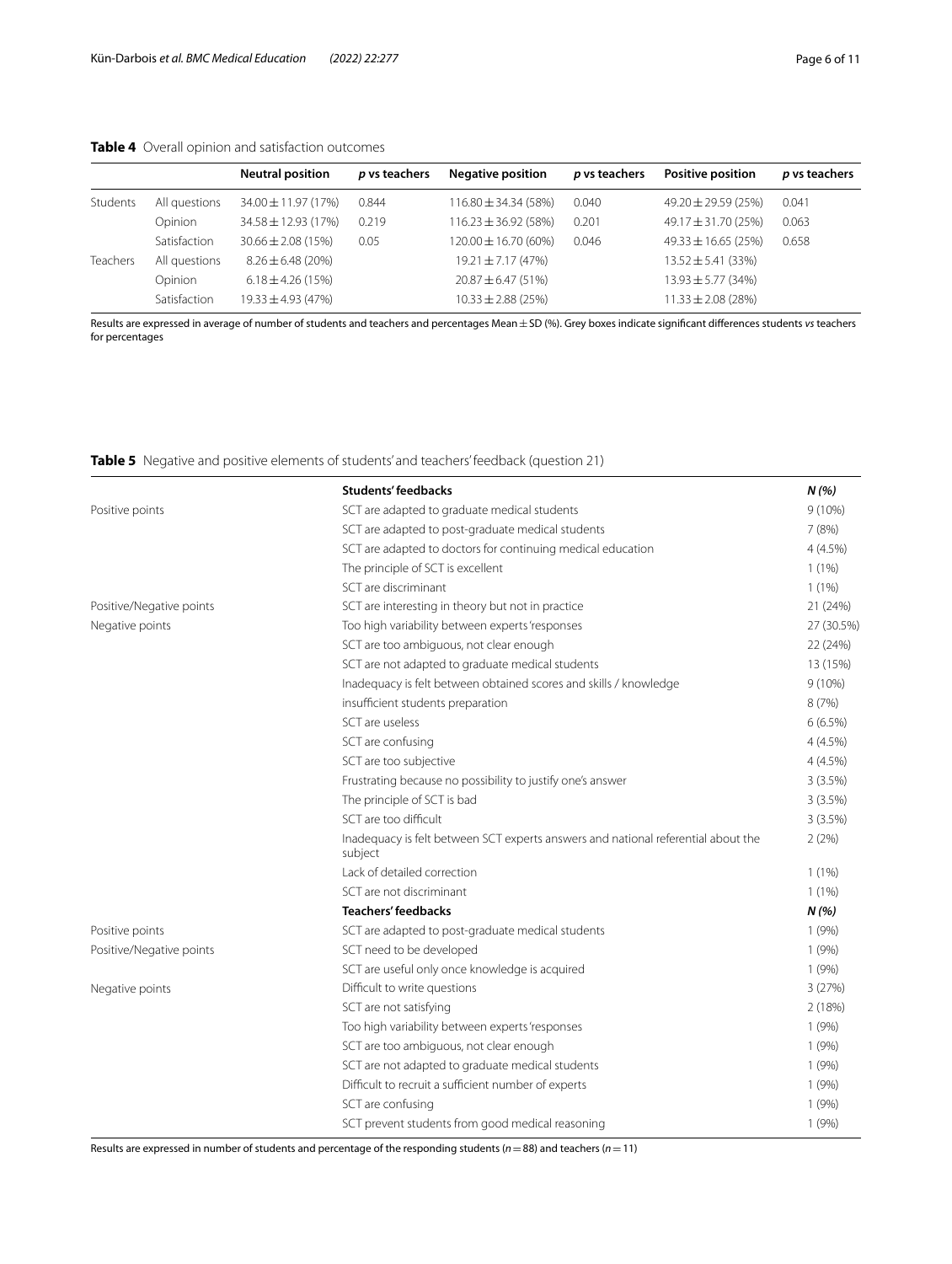# <span id="page-5-0"></span>**Table 4** Overall opinion and satisfaction outcomes

|          |               | <b>Neutral position</b> | <i>p</i> vs teachers | <b>Negative position</b> | p vs teachers | <b>Positive position</b> | p vs teachers |
|----------|---------------|-------------------------|----------------------|--------------------------|---------------|--------------------------|---------------|
| Students | All questions | $34.00 \pm 11.97(17%)$  | 0.844                | $116.80 \pm 34.34(58%)$  | 0.040         | $49.20 \pm 29.59(25%)$   | 0.041         |
|          | Opinion       | $34.58 \pm 12.93(17%)$  | 0.219                | $116.23 \pm 36.92$ (58%) | 0.201         | $49.17 \pm 31.70$ (25%)  | 0.063         |
|          | Satisfaction  | $30.66 \pm 2.08(15\%)$  | 0.05                 | 120.00 ± 16.70 (60%)     | 0.046         | $49.33 \pm 16.65$ (25%)  | 0.658         |
| Teachers | All questions | $8.26 \pm 6.48$ (20%)   |                      | $19.21 \pm 7.17(47%)$    |               | $13.52 \pm 5.41$ (33%)   |               |
|          | Opinion       | $6.18 \pm 4.26$ (15%)   |                      | $20.87 \pm 6.47(51\%)$   |               | $13.93 \pm 5.77$ (34%)   |               |
|          | Satisfaction  | $19.33 \pm 4.93$ (47%)  |                      | $10.33 \pm 2.88$ (25%)   |               | $11.33 \pm 2.08$ (28%)   |               |

Results are expressed in average of number of students and teachers and percentages Mean±SD (%). Grey boxes indicate signifcant diferences students *vs* teachers for percentages

# <span id="page-5-1"></span>**Table 5** Negative and positive elements of students' and teachers' feedback (question 21)

|                          | <b>Students' feedbacks</b>                                                                   | N(%)       |
|--------------------------|----------------------------------------------------------------------------------------------|------------|
| Positive points          | SCT are adapted to graduate medical students                                                 | $9(10\%)$  |
|                          | SCT are adapted to post-graduate medical students                                            | 7(8%)      |
|                          | SCT are adapted to doctors for continuing medical education                                  | 4(4.5%)    |
|                          | The principle of SCT is excellent                                                            | $1(1\%)$   |
|                          | SCT are discriminant                                                                         | 1(1%)      |
| Positive/Negative points | SCT are interesting in theory but not in practice                                            | 21 (24%)   |
| Negative points          | Too high variability between experts 'responses                                              | 27 (30.5%) |
|                          | SCT are too ambiguous, not clear enough                                                      | 22 (24%)   |
|                          | SCT are not adapted to graduate medical students                                             | 13 (15%)   |
|                          | Inadequacy is felt between obtained scores and skills / knowledge                            | $9(10\%)$  |
|                          | insufficient students preparation                                                            | 8(7%)      |
|                          | SCT are useless                                                                              | 6(6.5%)    |
|                          | SCT are confusing                                                                            | 4(4.5%)    |
|                          | SCT are too subjective                                                                       | 4(4.5%)    |
|                          | Frustrating because no possibility to justify one's answer                                   | 3(3.5%)    |
|                          | The principle of SCT is bad                                                                  | 3(3.5%)    |
|                          | SCT are too difficult                                                                        | 3(3.5%)    |
|                          | Inadequacy is felt between SCT experts answers and national referential about the<br>subject | 2(2%)      |
|                          | Lack of detailed correction                                                                  | 1(1%)      |
|                          | SCT are not discriminant                                                                     | 1(1%)      |
|                          | <b>Teachers' feedbacks</b>                                                                   | N(%)       |
| Positive points          | SCT are adapted to post-graduate medical students                                            | 1(9%)      |
| Positive/Negative points | SCT need to be developed                                                                     | 1(9%)      |
|                          | SCT are useful only once knowledge is acquired                                               | 1(9%)      |
| Negative points          | Difficult to write questions                                                                 | 3(27%)     |
|                          | SCT are not satisfying                                                                       | 2(18%)     |
|                          | Too high variability between experts 'responses                                              | 1(9%)      |
|                          | SCT are too ambiguous, not clear enough                                                      | 1(9%)      |
|                          | SCT are not adapted to graduate medical students                                             | 1(9%)      |
|                          | Difficult to recruit a sufficient number of experts                                          | 1(9%)      |
|                          | SCT are confusing                                                                            | 1(9%)      |
|                          | SCT prevent students from good medical reasoning                                             | 1(9%)      |

Results are expressed in number of students and percentage of the responding students (*n*=88) and teachers (*n*=11)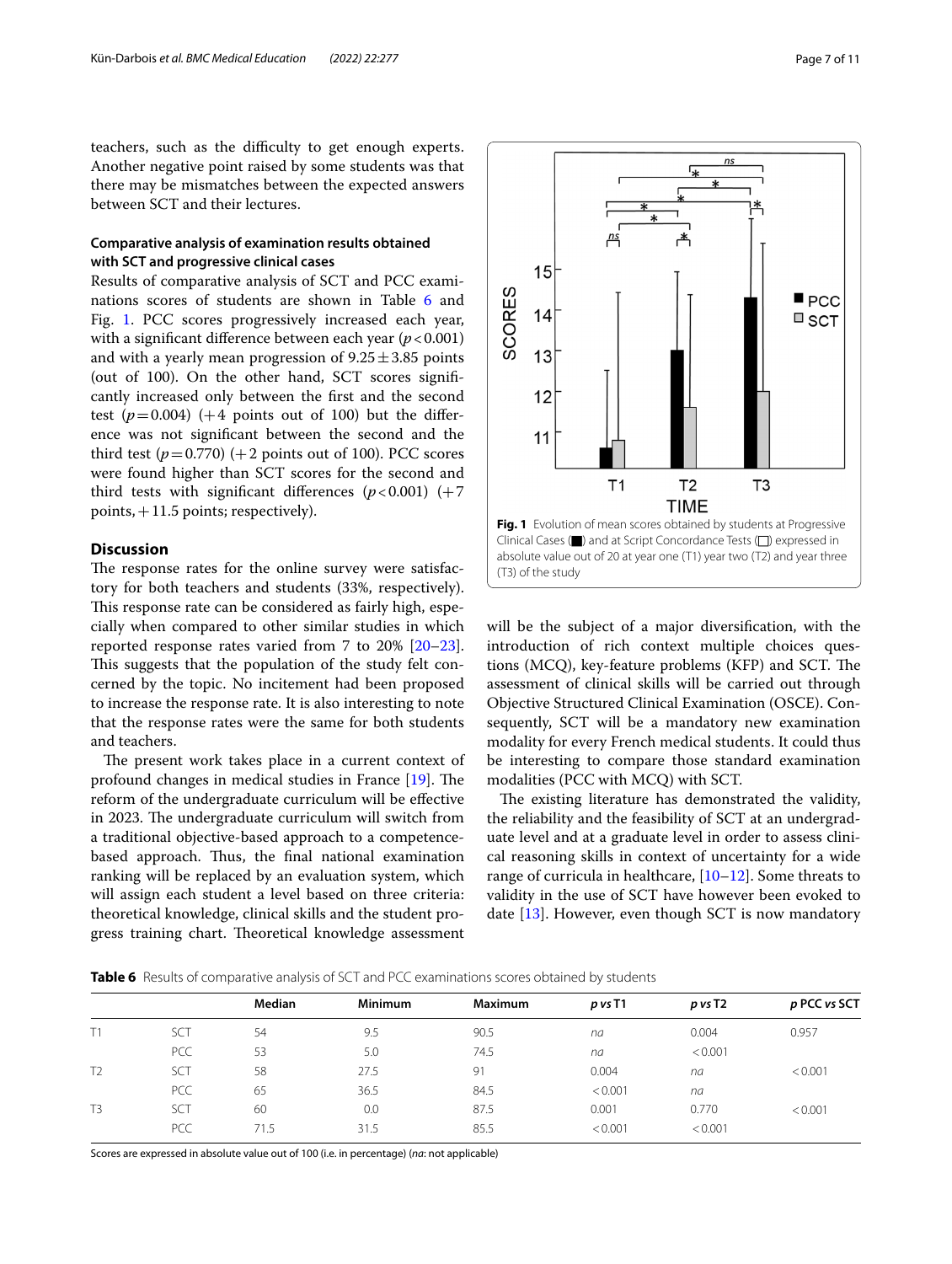teachers, such as the difficulty to get enough experts. Another negative point raised by some students was that there may be mismatches between the expected answers between SCT and their lectures.

# **Comparative analysis of examination results obtained with SCT and progressive clinical cases**

Results of comparative analysis of SCT and PCC exami-nations scores of students are shown in Table [6](#page-6-0) and Fig. [1.](#page-6-1) PCC scores progressively increased each year, with a significant difference between each year  $(p < 0.001)$ and with a yearly mean progression of  $9.25 \pm 3.85$  points (out of 100). On the other hand, SCT scores signifcantly increased only between the frst and the second test  $(p=0.004)$  (+4 points out of 100) but the difference was not signifcant between the second and the third test  $(p=0.770)$  (+2 points out of 100). PCC scores were found higher than SCT scores for the second and third tests with significant differences  $(p<0.001)$  (+7) points,  $+11.5$  points; respectively).

# **Discussion**

The response rates for the online survey were satisfactory for both teachers and students (33%, respectively). This response rate can be considered as fairly high, especially when compared to other similar studies in which reported response rates varied from 7 to 20% [[20](#page-9-12)[–23](#page-9-13)]. This suggests that the population of the study felt concerned by the topic. No incitement had been proposed to increase the response rate. It is also interesting to note that the response rates were the same for both students and teachers.

The present work takes place in a current context of profound changes in medical studies in France  $[19]$  $[19]$ . The reform of the undergraduate curriculum will be efective in 2023. The undergraduate curriculum will switch from a traditional objective-based approach to a competencebased approach. Thus, the final national examination ranking will be replaced by an evaluation system, which will assign each student a level based on three criteria: theoretical knowledge, clinical skills and the student progress training chart. Theoretical knowledge assessment



<span id="page-6-1"></span>will be the subject of a major diversifcation, with the introduction of rich context multiple choices questions (MCO), key-feature problems (KFP) and SCT. The assessment of clinical skills will be carried out through Objective Structured Clinical Examination (OSCE). Consequently, SCT will be a mandatory new examination modality for every French medical students. It could thus be interesting to compare those standard examination modalities (PCC with MCQ) with SCT.

The existing literature has demonstrated the validity, the reliability and the feasibility of SCT at an undergraduate level and at a graduate level in order to assess clinical reasoning skills in context of uncertainty for a wide range of curricula in healthcare,  $[10-12]$  $[10-12]$  $[10-12]$ . Some threats to validity in the use of SCT have however been evoked to date [\[13](#page-9-4)]. However, even though SCT is now mandatory

<span id="page-6-0"></span>**Table 6** Results of comparative analysis of SCT and PCC examinations scores obtained by students

|                |            | Median | <b>Minimum</b> | Maximum | p vs T1 | $p$ vs T2 | p PCC vs SCT |
|----------------|------------|--------|----------------|---------|---------|-----------|--------------|
| T1             | <b>SCT</b> | 54     | 9.5            | 90.5    | na      | 0.004     | 0.957        |
|                | <b>PCC</b> | 53     | 5.0            | 74.5    | na      | < 0.001   |              |
| T <sub>2</sub> | SCT        | 58     | 27.5           | 91      | 0.004   | na        | < 0.001      |
|                | PCC        | 65     | 36.5           | 84.5    | < 0.001 | na        |              |
| T <sub>3</sub> | <b>SCT</b> | 60     | 0.0            | 87.5    | 0.001   | 0.770     | < 0.001      |
|                | <b>PCC</b> | 71.5   | 31.5           | 85.5    | < 0.001 | < 0.001   |              |
|                |            |        |                |         |         |           |              |

Scores are expressed in absolute value out of 100 (i.e. in percentage) (*na*: not applicable)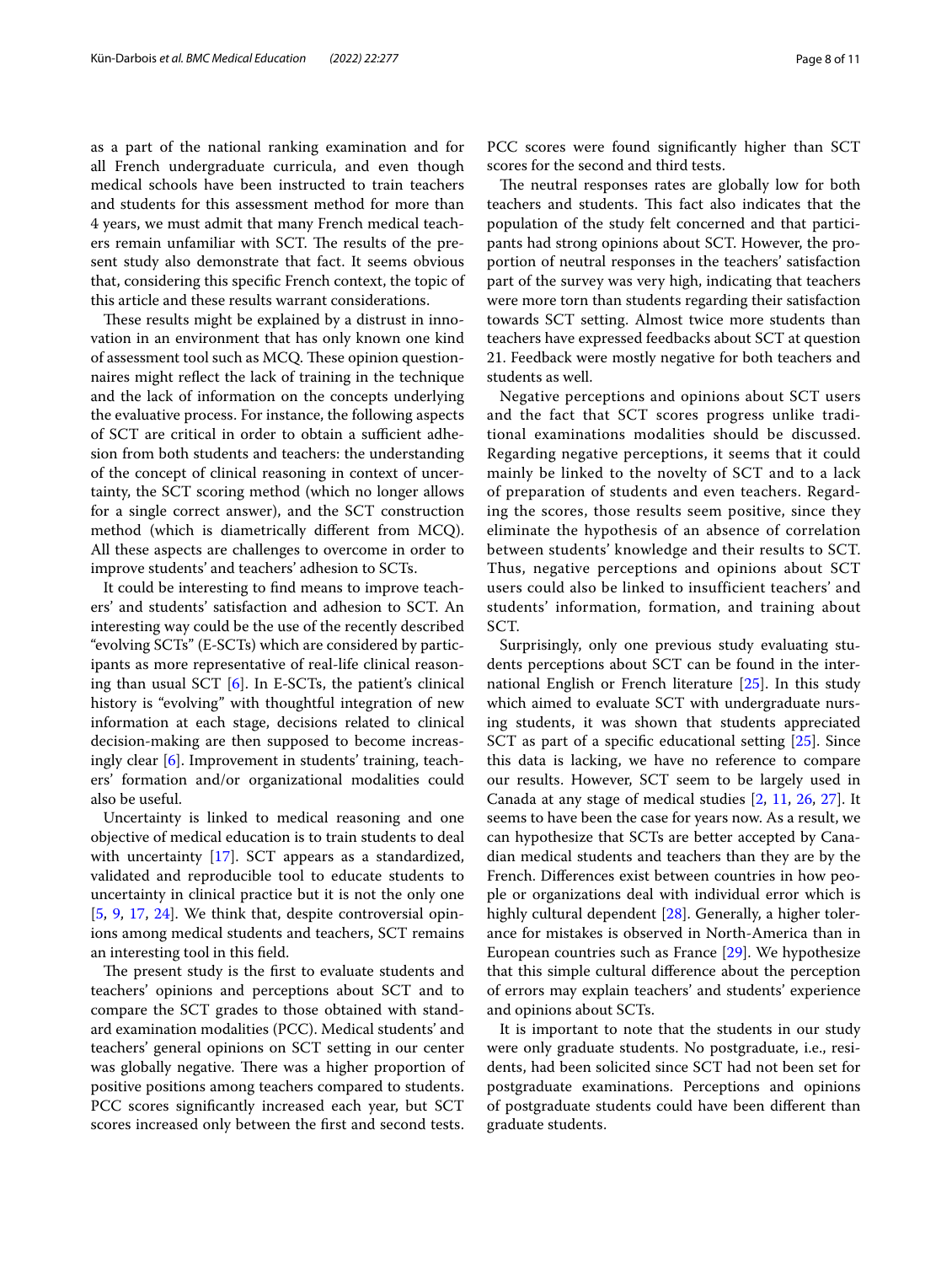as a part of the national ranking examination and for all French undergraduate curricula, and even though medical schools have been instructed to train teachers and students for this assessment method for more than 4 years, we must admit that many French medical teachers remain unfamiliar with SCT. The results of the present study also demonstrate that fact. It seems obvious that, considering this specifc French context, the topic of this article and these results warrant considerations.

These results might be explained by a distrust in innovation in an environment that has only known one kind of assessment tool such as MCQ. These opinion questionnaires might refect the lack of training in the technique and the lack of information on the concepts underlying the evaluative process. For instance, the following aspects of SCT are critical in order to obtain a sufficient adhesion from both students and teachers: the understanding of the concept of clinical reasoning in context of uncertainty, the SCT scoring method (which no longer allows for a single correct answer), and the SCT construction method (which is diametrically diferent from MCQ). All these aspects are challenges to overcome in order to improve students' and teachers' adhesion to SCTs.

It could be interesting to fnd means to improve teachers' and students' satisfaction and adhesion to SCT. An interesting way could be the use of the recently described "evolving SCTs" (E-SCTs) which are considered by participants as more representative of real-life clinical reasoning than usual SCT [\[6](#page-9-14)]. In E-SCTs, the patient's clinical history is "evolving" with thoughtful integration of new information at each stage, decisions related to clinical decision-making are then supposed to become increasingly clear [\[6](#page-9-14)]. Improvement in students' training, teachers' formation and/or organizational modalities could also be useful.

Uncertainty is linked to medical reasoning and one objective of medical education is to train students to deal with uncertainty [\[17](#page-9-6)]. SCT appears as a standardized, validated and reproducible tool to educate students to uncertainty in clinical practice but it is not the only one [[5,](#page-9-7) [9](#page-9-1), [17,](#page-9-6) [24](#page-10-0)]. We think that, despite controversial opinions among medical students and teachers, SCT remains an interesting tool in this feld.

The present study is the first to evaluate students and teachers' opinions and perceptions about SCT and to compare the SCT grades to those obtained with standard examination modalities (PCC). Medical students' and teachers' general opinions on SCT setting in our center was globally negative. There was a higher proportion of positive positions among teachers compared to students. PCC scores signifcantly increased each year, but SCT scores increased only between the frst and second tests. PCC scores were found significantly higher than SCT scores for the second and third tests.

The neutral responses rates are globally low for both teachers and students. This fact also indicates that the population of the study felt concerned and that participants had strong opinions about SCT. However, the proportion of neutral responses in the teachers' satisfaction part of the survey was very high, indicating that teachers were more torn than students regarding their satisfaction towards SCT setting. Almost twice more students than teachers have expressed feedbacks about SCT at question 21. Feedback were mostly negative for both teachers and students as well.

Negative perceptions and opinions about SCT users and the fact that SCT scores progress unlike traditional examinations modalities should be discussed. Regarding negative perceptions, it seems that it could mainly be linked to the novelty of SCT and to a lack of preparation of students and even teachers. Regarding the scores, those results seem positive, since they eliminate the hypothesis of an absence of correlation between students' knowledge and their results to SCT. Thus, negative perceptions and opinions about SCT users could also be linked to insufficient teachers' and students' information, formation, and training about SCT.

Surprisingly, only one previous study evaluating students perceptions about SCT can be found in the international English or French literature [[25\]](#page-10-1). In this study which aimed to evaluate SCT with undergraduate nursing students, it was shown that students appreciated SCT as part of a specifc educational setting [[25\]](#page-10-1). Since this data is lacking, we have no reference to compare our results. However, SCT seem to be largely used in Canada at any stage of medical studies [[2,](#page-9-8) [11](#page-9-15), [26](#page-10-2), [27\]](#page-10-3). It seems to have been the case for years now. As a result, we can hypothesize that SCTs are better accepted by Canadian medical students and teachers than they are by the French. Diferences exist between countries in how people or organizations deal with individual error which is highly cultural dependent [\[28\]](#page-10-4). Generally, a higher tolerance for mistakes is observed in North-America than in European countries such as France [[29\]](#page-10-5). We hypothesize that this simple cultural diference about the perception of errors may explain teachers' and students' experience and opinions about SCTs.

It is important to note that the students in our study were only graduate students. No postgraduate, i.e., residents, had been solicited since SCT had not been set for postgraduate examinations. Perceptions and opinions of postgraduate students could have been diferent than graduate students.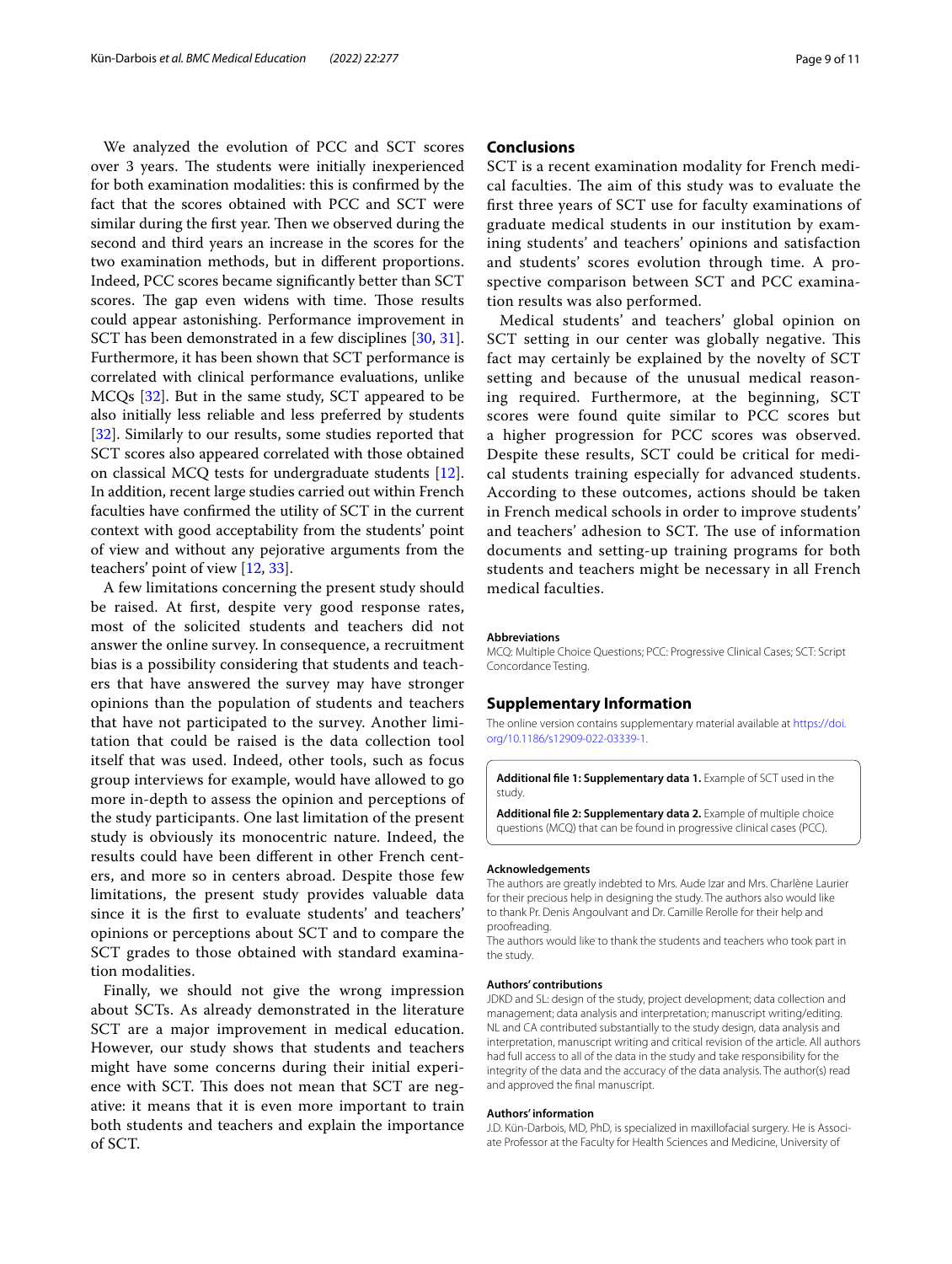We analyzed the evolution of PCC and SCT scores over 3 years. The students were initially inexperienced for both examination modalities: this is confrmed by the fact that the scores obtained with PCC and SCT were similar during the first year. Then we observed during the second and third years an increase in the scores for the two examination methods, but in diferent proportions. Indeed, PCC scores became signifcantly better than SCT scores. The gap even widens with time. Those results could appear astonishing. Performance improvement in SCT has been demonstrated in a few disciplines [[30](#page-10-6), [31](#page-10-7)]. Furthermore, it has been shown that SCT performance is correlated with clinical performance evaluations, unlike MCQs [[32\]](#page-10-8). But in the same study, SCT appeared to be also initially less reliable and less preferred by students [[32\]](#page-10-8). Similarly to our results, some studies reported that SCT scores also appeared correlated with those obtained on classical MCQ tests for undergraduate students [\[12](#page-9-3)]. In addition, recent large studies carried out within French faculties have confrmed the utility of SCT in the current context with good acceptability from the students' point of view and without any pejorative arguments from the teachers' point of view [[12,](#page-9-3) [33](#page-10-9)].

A few limitations concerning the present study should be raised. At frst, despite very good response rates, most of the solicited students and teachers did not answer the online survey. In consequence, a recruitment bias is a possibility considering that students and teachers that have answered the survey may have stronger opinions than the population of students and teachers that have not participated to the survey. Another limitation that could be raised is the data collection tool itself that was used. Indeed, other tools, such as focus group interviews for example, would have allowed to go more in-depth to assess the opinion and perceptions of the study participants. One last limitation of the present study is obviously its monocentric nature. Indeed, the results could have been diferent in other French centers, and more so in centers abroad. Despite those few limitations, the present study provides valuable data since it is the frst to evaluate students' and teachers' opinions or perceptions about SCT and to compare the SCT grades to those obtained with standard examination modalities.

Finally, we should not give the wrong impression about SCTs. As already demonstrated in the literature SCT are a major improvement in medical education. However, our study shows that students and teachers might have some concerns during their initial experience with SCT. This does not mean that SCT are negative: it means that it is even more important to train both students and teachers and explain the importance of SCT.

# **Conclusions**

SCT is a recent examination modality for French medical faculties. The aim of this study was to evaluate the frst three years of SCT use for faculty examinations of graduate medical students in our institution by examining students' and teachers' opinions and satisfaction and students' scores evolution through time. A prospective comparison between SCT and PCC examination results was also performed.

Medical students' and teachers' global opinion on SCT setting in our center was globally negative. This fact may certainly be explained by the novelty of SCT setting and because of the unusual medical reasoning required. Furthermore, at the beginning, SCT scores were found quite similar to PCC scores but a higher progression for PCC scores was observed. Despite these results, SCT could be critical for medical students training especially for advanced students. According to these outcomes, actions should be taken in French medical schools in order to improve students' and teachers' adhesion to SCT. The use of information documents and setting-up training programs for both students and teachers might be necessary in all French medical faculties.

#### **Abbreviations**

MCQ: Multiple Choice Questions; PCC: Progressive Clinical Cases; SCT: Script Concordance Testing.

## **Supplementary Information**

The online version contains supplementary material available at [https://doi.](https://doi.org/10.1186/s12909-022-03339-1) [org/10.1186/s12909-022-03339-1](https://doi.org/10.1186/s12909-022-03339-1).

<span id="page-8-0"></span>**Additional fle 1: Supplementary data 1.** Example of SCT used in the study.

**Additional fle 2: Supplementary data 2.** Example of multiple choice questions (MCQ) that can be found in progressive clinical cases (PCC).

#### **Acknowledgements**

The authors are greatly indebted to Mrs. Aude Izar and Mrs. Charlène Laurier for their precious help in designing the study. The authors also would like to thank Pr. Denis Angoulvant and Dr. Camille Rerolle for their help and proofreading.

The authors would like to thank the students and teachers who took part in the study.

#### **Authors' contributions**

JDKD and SL: design of the study, project development; data collection and management; data analysis and interpretation; manuscript writing/editing. NL and CA contributed substantially to the study design, data analysis and interpretation, manuscript writing and critical revision of the article. All authors had full access to all of the data in the study and take responsibility for the integrity of the data and the accuracy of the data analysis. The author(s) read and approved the fnal manuscript.

#### **Authors' information**

J.D. Kün-Darbois, MD, PhD, is specialized in maxillofacial surgery. He is Associate Professor at the Faculty for Health Sciences and Medicine, University of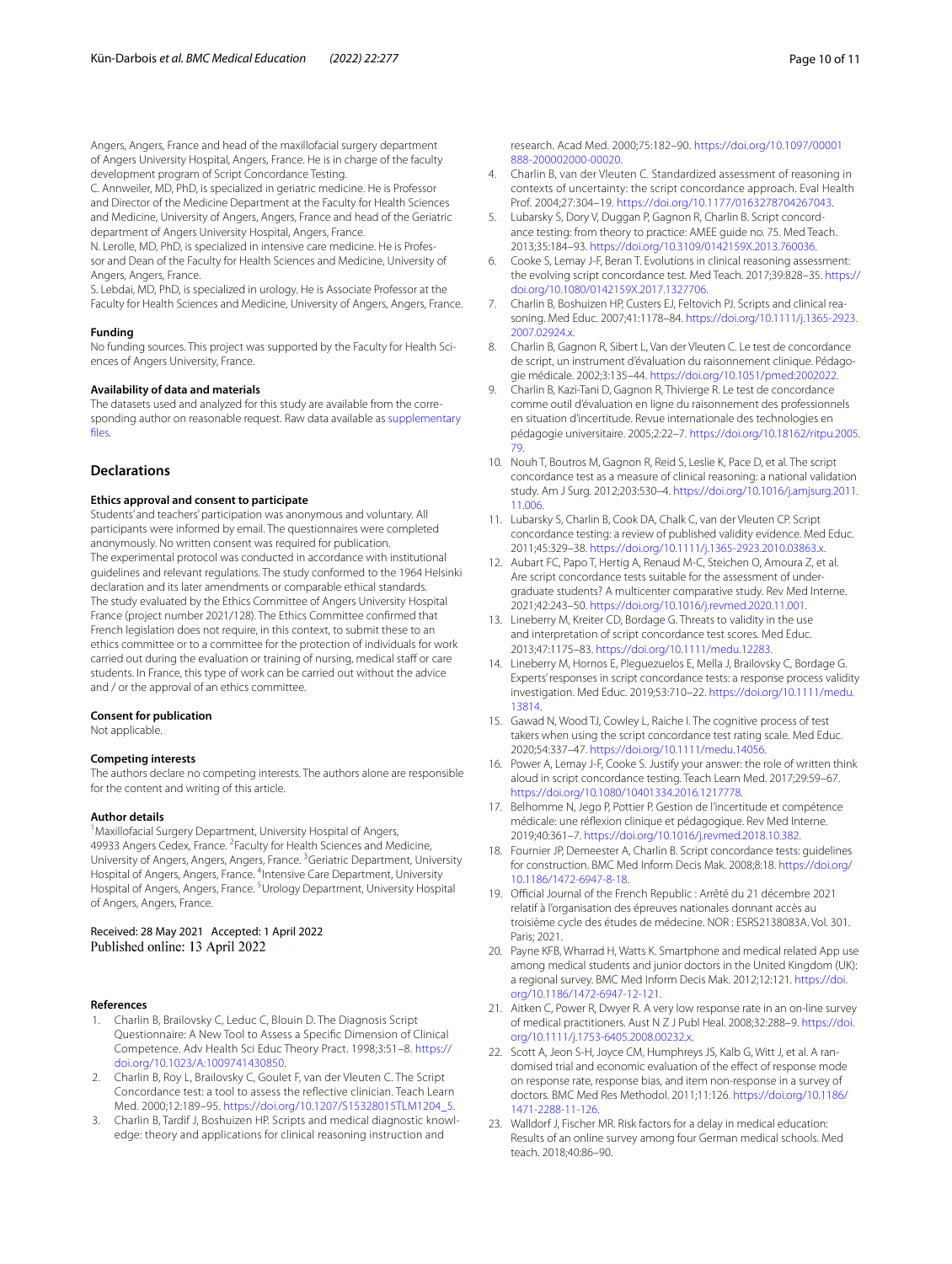Angers, Angers, France and head of the maxillofacial surgery department of Angers University Hospital, Angers, France. He is in charge of the faculty development program of Script Concordance Testing.

C. Annweiler, MD, PhD, is specialized in geriatric medicine. He is Professor and Director of the Medicine Department at the Faculty for Health Sciences and Medicine, University of Angers, Angers, France and head of the Geriatric department of Angers University Hospital, Angers, France.

N. Lerolle, MD, PhD, is specialized in intensive care medicine. He is Professor and Dean of the Faculty for Health Sciences and Medicine, University of Angers, Angers, France.

S. Lebdai, MD, PhD, is specialized in urology. He is Associate Professor at the Faculty for Health Sciences and Medicine, University of Angers, Angers, France.

#### **Funding**

No funding sources. This project was supported by the Faculty for Health Sciences of Angers University, France.

#### **Availability of data and materials**

The datasets used and analyzed for this study are available from the corresponding author on reasonable request. Raw data available as [supplementary](#page-8-0)  [fles](#page-8-0).

#### **Declarations**

#### **Ethics approval and consent to participate**

Students' and teachers' participation was anonymous and voluntary. All participants were informed by email. The questionnaires were completed anonymously. No written consent was required for publication. The experimental protocol was conducted in accordance with institutional guidelines and relevant regulations. The study conformed to the 1964 Helsinki declaration and its later amendments or comparable ethical standards. The study evaluated by the Ethics Committee of Angers University Hospital France (project number 2021/128). The Ethics Committee confrmed that French legislation does not require, in this context, to submit these to an ethics committee or to a committee for the protection of individuals for work carried out during the evaluation or training of nursing, medical staff or care students. In France, this type of work can be carried out without the advice and / or the approval of an ethics committee.

#### **Consent for publication**

Not applicable.

#### **Competing interests**

The authors declare no competing interests. The authors alone are responsible for the content and writing of this article.

## **Author details**

<sup>1</sup> Maxillofacial Surgery Department, University Hospital of Angers, 49933 Angers Cedex, France. <sup>2</sup> Faculty for Health Sciences and Medicine, University of Angers, Angers, Angers, France. <sup>3</sup> Geriatric Department, University Hospital of Angers, Angers, France. <sup>4</sup>Intensive Care Department, University Hospital of Angers, Angers, France. <sup>5</sup>Urology Department, University Hospital of Angers, Angers, France.

Received: 28 May 2021 Accepted: 1 April 2022 Published online: 13 April 2022

#### **References**

- <span id="page-9-0"></span>1. Charlin B, Brailovsky C, Leduc C, Blouin D. The Diagnosis Script Questionnaire: A New Tool to Assess a Specifc Dimension of Clinical Competence. Adv Health Sci Educ Theory Pract. 1998;3:51–8. [https://](https://doi.org/10.1023/A:1009741430850) [doi.org/10.1023/A:1009741430850.](https://doi.org/10.1023/A:1009741430850)
- <span id="page-9-8"></span>2. Charlin B, Roy L, Brailovsky C, Goulet F, van der Vleuten C. The Script Concordance test: a tool to assess the refective clinician. Teach Learn Med. 2000;12:189–95. [https://doi.org/10.1207/S15328015TLM1204\\_5.](https://doi.org/10.1207/S15328015TLM1204_5)
- 3. Charlin B, Tardif J, Boshuizen HP. Scripts and medical diagnostic knowledge: theory and applications for clinical reasoning instruction and

research. Acad Med. 2000;75:182–90. [https://doi.org/10.1097/00001](https://doi.org/10.1097/00001888-200002000-00020) [888-200002000-00020](https://doi.org/10.1097/00001888-200002000-00020).

- 4. Charlin B, van der Vleuten C. Standardized assessment of reasoning in contexts of uncertainty: the script concordance approach. Eval Health Prof. 2004;27:304–19. [https://doi.org/10.1177/0163278704267043.](https://doi.org/10.1177/0163278704267043)
- <span id="page-9-7"></span>Lubarsky S, Dory V, Duggan P, Gagnon R, Charlin B. Script concordance testing: from theory to practice: AMEE guide no. 75. Med Teach. 2013;35:184–93.<https://doi.org/10.3109/0142159X.2013.760036>.
- <span id="page-9-14"></span>Cooke S, Lemay J-F, Beran T. Evolutions in clinical reasoning assessment: the evolving script concordance test. Med Teach. 2017;39:828–35. [https://](https://doi.org/10.1080/0142159X.2017.1327706) [doi.org/10.1080/0142159X.2017.1327706.](https://doi.org/10.1080/0142159X.2017.1327706)
- 7. Charlin B, Boshuizen HP, Custers EJ, Feltovich PJ. Scripts and clinical reasoning. Med Educ. 2007;41:1178–84. [https://doi.org/10.1111/j.1365-2923.](https://doi.org/10.1111/j.1365-2923.2007.02924.x) [2007.02924.x](https://doi.org/10.1111/j.1365-2923.2007.02924.x).
- <span id="page-9-9"></span>8. Charlin B, Gagnon R, Sibert L, Van der Vleuten C. Le test de concordance de script, un instrument d'évaluation du raisonnement clinique. Pédagogie médicale. 2002;3:135–44. [https://doi.org/10.1051/pmed:2002022.](https://doi.org/10.1051/pmed:2002022)
- <span id="page-9-1"></span>9. Charlin B, Kazi-Tani D, Gagnon R, Thivierge R. Le test de concordance comme outil d'évaluation en ligne du raisonnement des professionnels en situation d'incertitude. Revue internationale des technologies en pédagogie universitaire. 2005;2:22–7. [https://doi.org/10.18162/ritpu.2005.](https://doi.org/10.18162/ritpu.2005.79) [79](https://doi.org/10.18162/ritpu.2005.79).
- <span id="page-9-2"></span>10. Nouh T, Boutros M, Gagnon R, Reid S, Leslie K, Pace D, et al. The script concordance test as a measure of clinical reasoning: a national validation study. Am J Surg. 2012;203:530–4. [https://doi.org/10.1016/j.amjsurg.2011.](https://doi.org/10.1016/j.amjsurg.2011.11.006) [11.006](https://doi.org/10.1016/j.amjsurg.2011.11.006).
- <span id="page-9-15"></span>11. Lubarsky S, Charlin B, Cook DA, Chalk C, van der Vleuten CP. Script concordance testing: a review of published validity evidence. Med Educ. 2011;45:329–38. [https://doi.org/10.1111/j.1365-2923.2010.03863.x.](https://doi.org/10.1111/j.1365-2923.2010.03863.x)
- <span id="page-9-3"></span>12. Aubart FC, Papo T, Hertig A, Renaud M-C, Steichen O, Amoura Z, et al. Are script concordance tests suitable for the assessment of undergraduate students? A multicenter comparative study. Rev Med Interne. 2021;42:243–50. [https://doi.org/10.1016/j.revmed.2020.11.001.](https://doi.org/10.1016/j.revmed.2020.11.001)
- <span id="page-9-4"></span>13. Lineberry M, Kreiter CD, Bordage G. Threats to validity in the use and interpretation of script concordance test scores. Med Educ. 2013;47:1175–83. <https://doi.org/10.1111/medu.12283>.
- 14. Lineberry M, Hornos E, Pleguezuelos E, Mella J, Brailovsky C, Bordage G. Experts' responses in script concordance tests: a response process validity investigation. Med Educ. 2019;53:710–22. [https://doi.org/10.1111/medu.](https://doi.org/10.1111/medu.13814) [13814](https://doi.org/10.1111/medu.13814).
- 15. Gawad N, Wood TJ, Cowley L, Raiche I. The cognitive process of test takers when using the script concordance test rating scale. Med Educ. 2020;54:337–47. [https://doi.org/10.1111/medu.14056.](https://doi.org/10.1111/medu.14056)
- <span id="page-9-5"></span>16. Power A, Lemay J-F, Cooke S. Justify your answer: the role of written think aloud in script concordance testing. Teach Learn Med. 2017;29:59–67. [https://doi.org/10.1080/10401334.2016.1217778.](https://doi.org/10.1080/10401334.2016.1217778)
- <span id="page-9-6"></span>17. Belhomme N, Jego P, Pottier P. Gestion de l'incertitude et compétence médicale: une réfexion clinique et pédagogique. Rev Med Interne. 2019;40:361–7. <https://doi.org/10.1016/j.revmed.2018.10.382>.
- <span id="page-9-10"></span>18. Fournier JP, Demeester A, Charlin B. Script concordance tests: guidelines for construction. BMC Med Inform Decis Mak. 2008;8:18. [https://doi.org/](https://doi.org/10.1186/1472-6947-8-18) [10.1186/1472-6947-8-18.](https://doi.org/10.1186/1472-6947-8-18)
- <span id="page-9-11"></span>19. Official Journal of the French Republic : Arrêté du 21 décembre 2021 relatif à l'organisation des épreuves nationales donnant accès au troisième cycle des études de médecine. NOR : ESRS2138083A. Vol. 301. Paris; 2021.
- <span id="page-9-12"></span>20. Payne KFB, Wharrad H, Watts K. Smartphone and medical related App use among medical students and junior doctors in the United Kingdom (UK): a regional survey. BMC Med Inform Decis Mak. 2012;12:121. [https://doi.](https://doi.org/10.1186/1472-6947-12-121) [org/10.1186/1472-6947-12-121.](https://doi.org/10.1186/1472-6947-12-121)
- 21. Aitken C, Power R, Dwyer R. A very low response rate in an on-line survey of medical practitioners. Aust N Z J Publ Heal. 2008;32:288–9. [https://doi.](https://doi.org/10.1111/j.1753-6405.2008.00232.x) [org/10.1111/j.1753-6405.2008.00232.x.](https://doi.org/10.1111/j.1753-6405.2008.00232.x)
- 22. Scott A, Jeon S-H, Joyce CM, Humphreys JS, Kalb G, Witt J, et al. A randomised trial and economic evaluation of the effect of response mode on response rate, response bias, and item non-response in a survey of doctors. BMC Med Res Methodol. 2011;11:126. [https://doi.org/10.1186/](https://doi.org/10.1186/1471-2288-11-126) [1471-2288-11-126](https://doi.org/10.1186/1471-2288-11-126).
- <span id="page-9-13"></span>23. Walldorf J, Fischer MR. Risk factors for a delay in medical education: Results of an online survey among four German medical schools. Med teach. 2018;40:86–90.